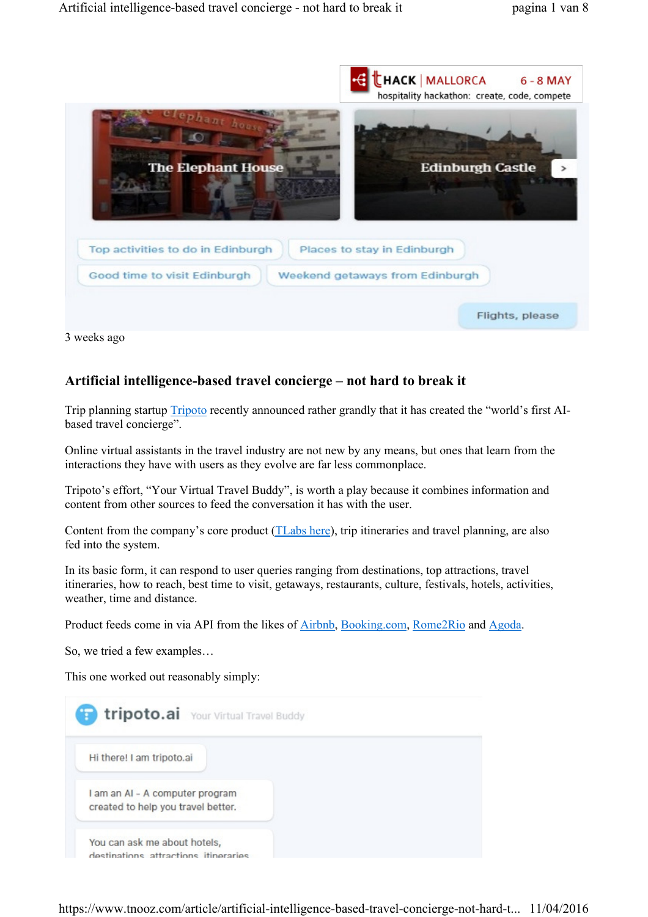

3 weeks ago

# Artificial intelligence-based travel concierge – not hard to break it

Trip planning startup Tripoto recently announced rather grandly that it has created the "world's first AIbased travel concierge".

Online virtual assistants in the travel industry are not new by any means, but ones that learn from the interactions they have with users as they evolve are far less commonplace.

Tripoto's effort, "Your Virtual Travel Buddy", is worth a play because it combines information and content from other sources to feed the conversation it has with the user.

Content from the company's core product (TLabs here), trip itineraries and travel planning, are also fed into the system.

In its basic form, it can respond to user queries ranging from destinations, top attractions, travel itineraries, how to reach, best time to visit, getaways, restaurants, culture, festivals, hotels, activities, weather, time and distance.

Product feeds come in via API from the likes of Airbnb, Booking.com, Rome2Rio and Agoda.

So, we tried a few examples…

This one worked out reasonably simply:

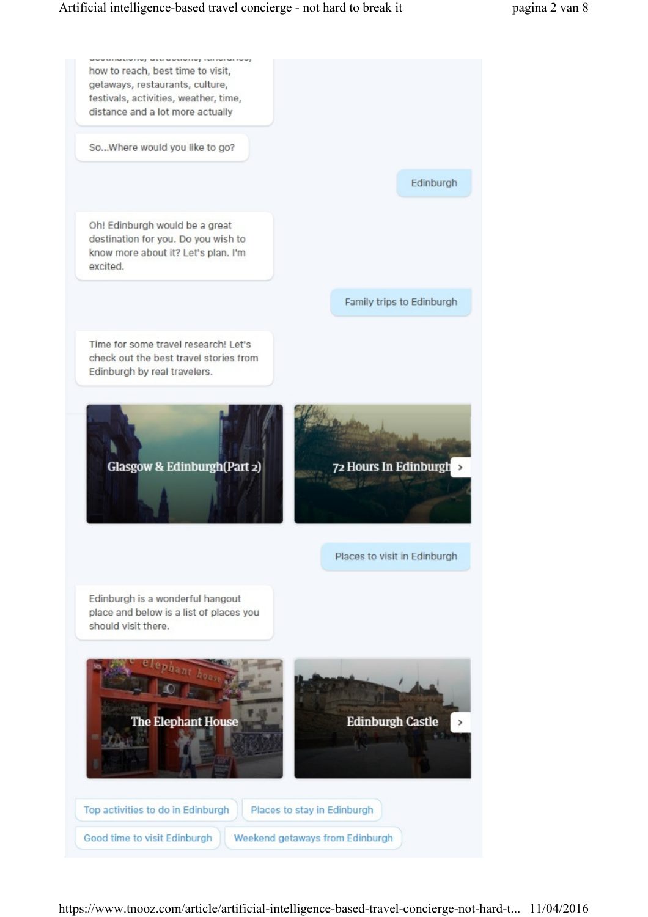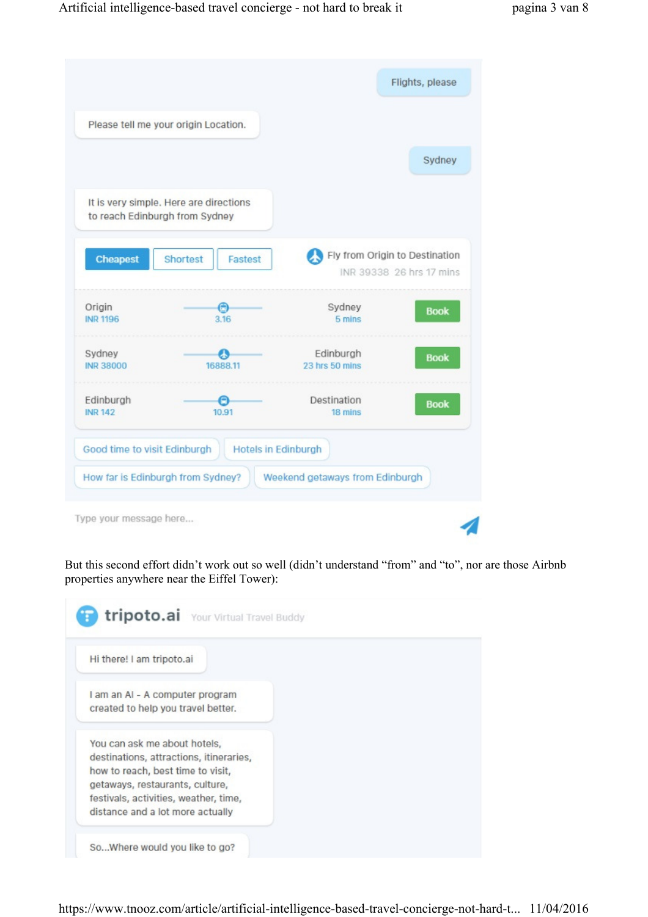|                              | Please tell me your origin Location.                                     |                                                            |             |
|------------------------------|--------------------------------------------------------------------------|------------------------------------------------------------|-------------|
|                              |                                                                          |                                                            | Sydney      |
|                              | It is very simple. Here are directions<br>to reach Edinburgh from Sydney |                                                            |             |
| <b>Cheapest</b>              | Shortest<br>Fastest                                                      | Fly from Origin to Destination<br>INR 39338 26 hrs 17 mins |             |
| Origin<br><b>INR 1196</b>    | $\bigodot$<br>3.16                                                       | Sydney<br>5 mins                                           | <b>Book</b> |
| Sydney<br><b>INR 38000</b>   | 23<br>16888.11                                                           | Edinburgh<br>23 hrs 50 mins                                | <b>Book</b> |
| Edinburgh<br><b>INR 142</b>  | 10.91                                                                    | Destination<br>18 mins                                     | <b>Book</b> |
| Good time to visit Edinburgh | <b>Hotels in Edinburgh</b>                                               |                                                            |             |

But this second effort didn't work out so well (didn't understand "from" and "to", nor are those Airbnb properties anywhere near the Eiffel Tower):

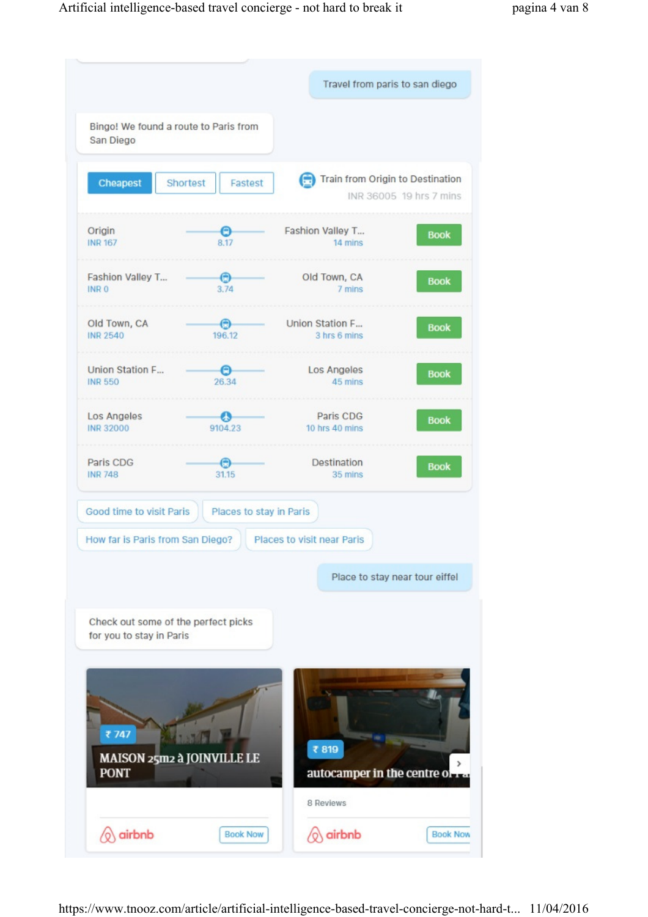|                                      |                                       | Travel from paris to san diego         |                         |
|--------------------------------------|---------------------------------------|----------------------------------------|-------------------------|
| San Diego                            | Bingo! We found a route to Paris from |                                        |                         |
| Cheapest                             | Shortest<br>Fastest                   | Train from Origin to Destination       | INR 36005 19 hrs 7 mins |
| Origin<br><b>INR 167</b>             | Θ<br>8.17                             | Fashion Valley T<br>14 mins            | <b>Book</b>             |
| Fashion Valley T<br>INR <sub>0</sub> | $\odot$<br>3.74                       | Old Town, CA<br>7 mins                 | <b>Book</b>             |
| Old Town, CA<br><b>INR 2540</b>      | ⊖<br>196.12                           | Union Station F<br>3 hrs 6 mins        | <b>Book</b>             |
| Union Station F<br><b>INR 550</b>    | e.<br>26.34                           | Los Angeles<br>45 mins                 | <b>Book</b>             |
| Los Angeles<br><b>INR 32000</b>      | еs<br>9104.23                         | Paris CDG<br>10 hrs 40 mins            | <b>Book</b>             |
| Paris CDG<br><b>INR 748</b>          | $\odot$<br>31.15                      | Destination<br>35 mins                 | <b>Book</b>             |
| Good time to visit Paris             | Places to stay in Paris               |                                        |                         |
|                                      | How far is Paris from San Diego?      | Places to visit near Paris             |                         |
|                                      |                                       | Place to stay near tour eiffel         |                         |
| for you to stay in Paris             | Check out some of the perfect picks   |                                        |                         |
| ₹747<br><b>PONT</b>                  | MAISON 25m2 à JOINVILLE LE            | ₹819<br>autocamper in the centre of Ta | $\rightarrow$           |
|                                      |                                       | 8 Reviews                              |                         |
| airbnb                               | <b>Book Now</b>                       | airbnb                                 | <b>Book Now</b>         |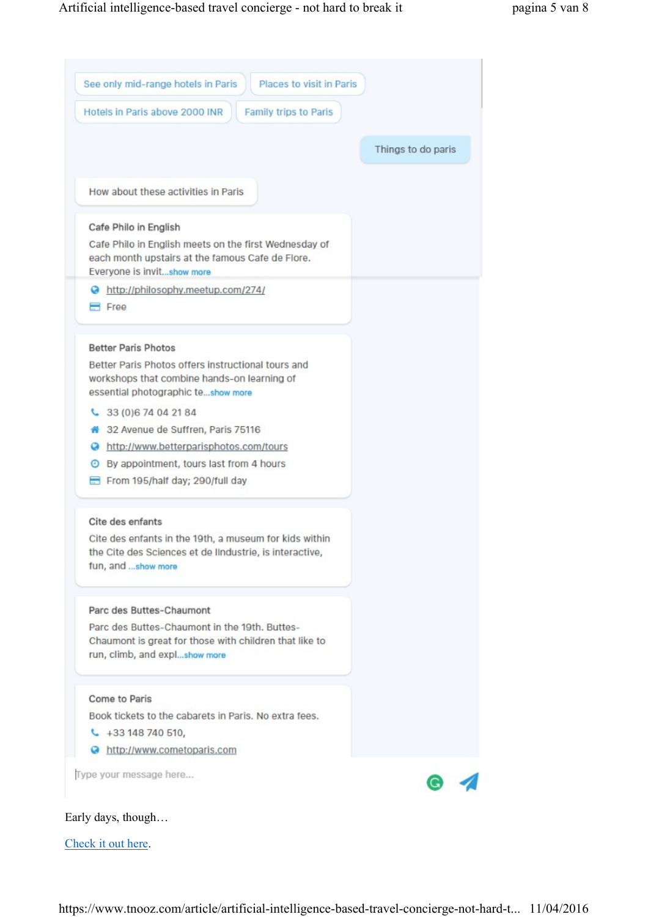

Check it out here.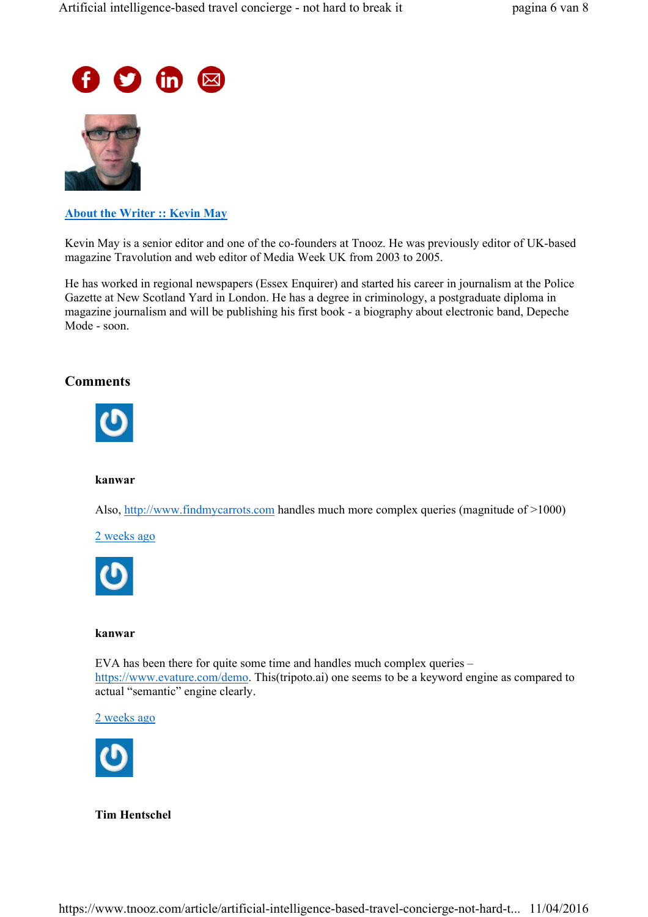



### About the Writer :: Kevin May

Kevin May is a senior editor and one of the co-founders at Tnooz. He was previously editor of UK-based magazine Travolution and web editor of Media Week UK from 2003 to 2005.

He has worked in regional newspapers (Essex Enquirer) and started his career in journalism at the Police Gazette at New Scotland Yard in London. He has a degree in criminology, a postgraduate diploma in magazine journalism and will be publishing his first book - a biography about electronic band, Depeche Mode - soon.

## **Comments**



### kanwar

Also, http://www.findmycarrots.com handles much more complex queries (magnitude of >1000)

2 weeks ago



### kanwar

EVA has been there for quite some time and handles much complex queries – https://www.evature.com/demo. This(tripoto.ai) one seems to be a keyword engine as compared to actual "semantic" engine clearly.

2 weeks ago



Tim Hentschel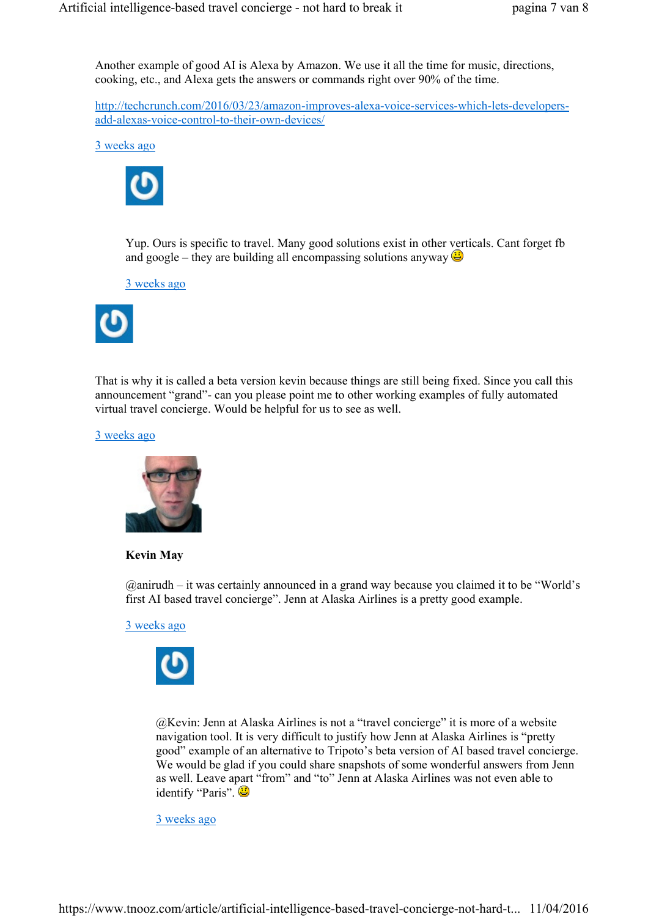Another example of good AI is Alexa by Amazon. We use it all the time for music, directions, cooking, etc., and Alexa gets the answers or commands right over 90% of the time.

http://techcrunch.com/2016/03/23/amazon-improves-alexa-voice-services-which-lets-developersadd-alexas-voice-control-to-their-own-devices/

3 weeks ago



Yup. Ours is specific to travel. Many good solutions exist in other verticals. Cant forget fb and google – they are building all encompassing solutions anyway  $\bigcirc$ 

3 weeks ago



That is why it is called a beta version kevin because things are still being fixed. Since you call this announcement "grand"- can you please point me to other working examples of fully automated virtual travel concierge. Would be helpful for us to see as well.

3 weeks ago



Kevin May

@anirudh – it was certainly announced in a grand way because you claimed it to be "World's first AI based travel concierge". Jenn at Alaska Airlines is a pretty good example.

3 weeks ago



@Kevin: Jenn at Alaska Airlines is not a "travel concierge" it is more of a website navigation tool. It is very difficult to justify how Jenn at Alaska Airlines is "pretty good" example of an alternative to Tripoto's beta version of AI based travel concierge. We would be glad if you could share snapshots of some wonderful answers from Jenn as well. Leave apart "from" and "to" Jenn at Alaska Airlines was not even able to identify "Paris".

3 weeks ago